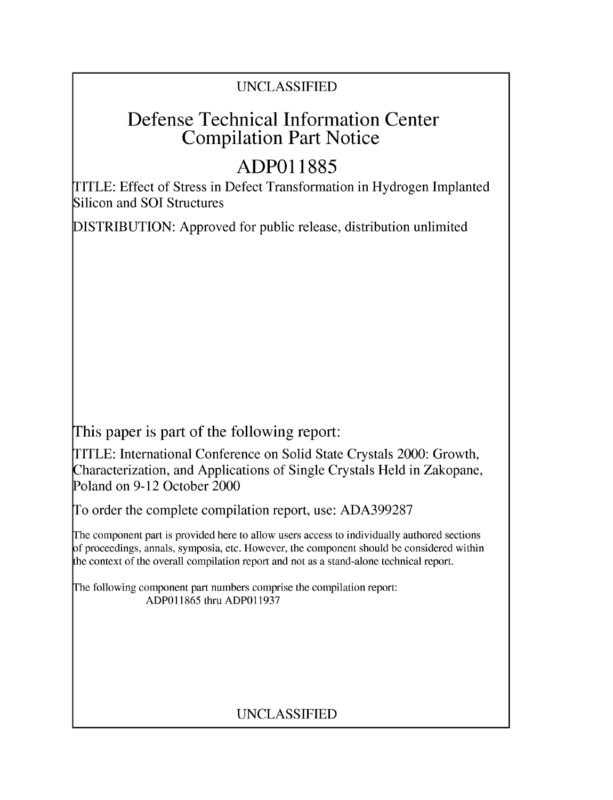### UNCLASSIFIED

## Defense Technical Information Center Compilation Part Notice

# **ADPO1 1885**

TITLE: Effect of Stress in Defect Transformation in Hydrogen Implanted Silicon and **SOI** Structures

DISTRIBUTION: Approved for public release, distribution unlimited

This paper is part of the following report:

TITLE: International Conference on Solid State Crystals 2000: Growth, Characterization, and Applications of Single Crystals Held in Zakopane, Poland on 9-12 October 2000

To order the complete compilation report, use: ADA399287

The component part is provided here to allow users access to individually authored sections f proceedings, annals, symposia, etc. However, the component should be considered within [he context of the overall compilation report and not as a stand-alone technical report.

The following component part numbers comprise the compilation report: ADP011865 thru ADP011937

## UNCLASSIFIED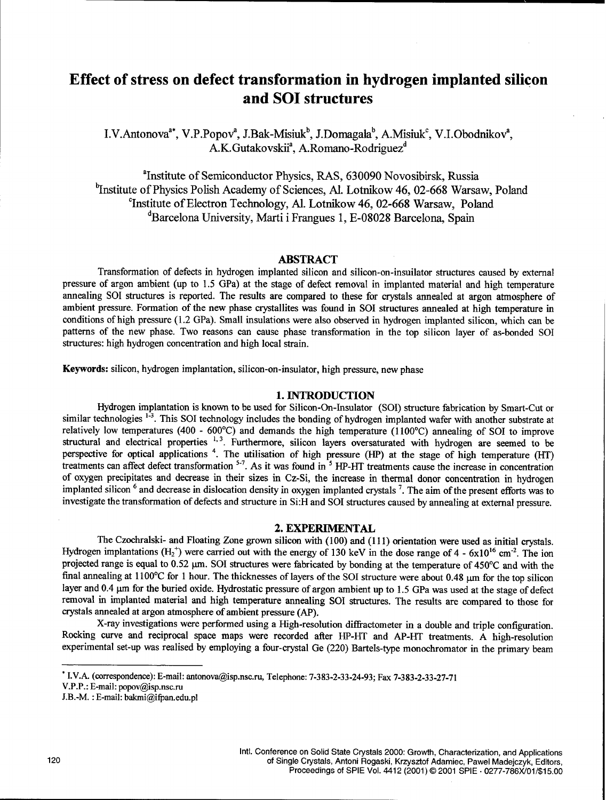### Effect of stress on defect transformation in hydrogen implanted silicon and **SOI** structures

I.V.Antonova<sup>a\*</sup>, V.P.Popov<sup>a</sup>, J.Bak-Misiuk<sup>b</sup>, J.Domagala<sup>b</sup>, A.Misiuk<sup>c</sup>, V.I.Obodnikov<sup>a</sup>, A.K.Gutakovskii<sup>a</sup>, A.Romano-Rodriguez<sup>d</sup>

<sup>a</sup>Institute of Semiconductor Physics, RAS, 630090 Novosibirsk, Russia <sup>b</sup>Institute of Physics Polish Academy of Sciences, Al. Lotnikow 46, 02-668 Warsaw, Poland <sup>c</sup>Institute of Electron Technology, Al. Lotnikow 46, 02-668 Warsaw, Poland <sup>d</sup>Barcelona University, Marti i Frangues 1, E-08028 Barcelona, Spain

#### ABSTRACT

Transformation of defects in hydrogen implanted silicon and silicon-on-insuilator structures caused by external pressure of argon ambient (up to 1.5 GPa) at the stage of defect removal in implanted material and high temperature annealing **SOI** structures is reported. The results are compared to these for crystals annealed at argon atmosphere of ambient pressure. Formation of the new phase crystallites was found in **SOI** structures annealed at high temperature in conditions of high pressure (1.2 GPa). Small insulations were also observed in hydrogen implanted silicon, which can be patterns of the new phase. Two reasons can cause phase transformation in the top silicon layer of as-bonded **SOI** structures: high hydrogen concentration and high local strain.

Keywords: silicon, hydrogen implantation, silicon-on-insulator, high pressure, new phase

#### 1. **INTRODUCTION**

Hydrogen implantation is known to be used for Silicon-On-Insulator (SOI) structure fabrication by Smart-Cut or similar technologies <sup>1-3</sup>. This SOI technology includes the bonding of hydrogen implanted wafer with another substrate at relatively low temperatures (400 - 600°C) and demands the high temperature (1100°C) annealing of SOI to improve structural and electrical properties **1,3.** Furthermore, silicon layers oversaturated with hydrogen are seemed to be perspective for optical applications <sup>4</sup>. The utilisation of high pressure (HP) at the stage of high temperature (HT) treatments can affect defect transformation **'-7.** As it was found in **5** HP-HT treatments cause the increase in concentration of oxygen precipitates and decrease in their sizes in Cz-Si, the increase in thermal donor concentration in hydrogen implanted silicon **6** and decrease in dislocation density in oxygen implanted crystals **7.** The aim of the present efforts was to investigate the transformation of defects and structure in Si:H and SOI structures caused by annealing at external pressure.

#### 2. EXPERIMENTAL

The Czochralski- and Floating Zone grown silicon with (100) and **(11)** orientation were used as initial crystals. Hydrogen implantations  $(H_2^+)$  were carried out with the energy of 130 keV in the dose range of 4 - 6x10<sup>16</sup> cm<sup>-2</sup>. The ion projected range is equal to 0.52  $\mu$ m. SOI structures were fabricated by bonding at the temperature of 450°C and with the final annealing at 1100°C for 1 hour. The thicknesses of layers of the SOI structure were about 0.48 µm for the top silicon layer and 0.4 µm for the buried oxide. Hydrostatic pressure of argon ambient up to 1.5 GPa was used at the stage of defect removal in implanted material and high temperature annealing **SOI** structures. The results are compared to those for crystals annealed at argon atmosphere of ambient pressure (AP).

X-ray investigations were performed using a High-resolution diffiractometer in a double and triple configuration. Rocking curve and reciprocal space maps were recorded after HP-HT and AP-HT treatments. A high-resolution experimental set-up was realised by employing a four-crystal Ge (220) Bartels-type monochromator in the primary beam

**<sup>\*</sup>** I.V.A. (correspondence): E-mail: antonova@isp.nsc.ru, Telephone: 7-383-2-33-24-93; Fax 7-383-2-33-27-71

V.P.P.: E-mail: popov@isp.nsc.ru

J.B.-M. : E-mail: bakmi@ifpan.edu.pl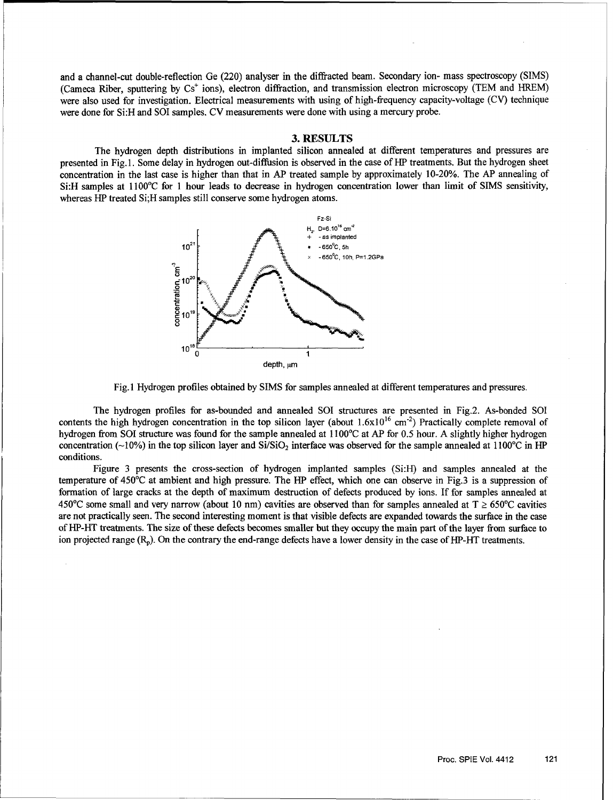and a channel-cut double-reflection Ge (220) analyser in the diffracted beam. Secondary ion- mass spectroscopy (SIMS) (Cameca Riber, sputtering by  $Cs<sup>+</sup>$  ions), electron diffraction, and transmission electron microscopy (TEM and HREM) were also used for investigation. Electrical measurements with using of high-frequency capacity-voltage (CV) technique were done for Si:H and SOI samples. CV measurements were done with using a mercury probe.

#### 3. RESULTS

The hydrogen depth distributions in implanted silicon annealed at different temperatures and pressures are presented in Fig. 1. Some delay in hydrogen out-diffusion is observed in the case of HiP treatments. But the hydrogen sheet concentration in the last case is higher than that in AP treated sample by approximately 10-20%. The AP annealing of Si:H samples at 1 100°C for 1 hour leads to decrease in hydrogen concentration lower than limit of SIMS sensitivity, whereas HP treated Si; H samples still conserve some hydrogen atoms.





The hydrogen profiles for as-bounded and annealed **SOl** structures are presented in Fig.2. As-bonded **SOI** contents the high hydrogen concentration in the top silicon layer (about  $1.6x10^{16}$  cm<sup>-2</sup>) Practically complete removal of hydrogen from **SOI** structure was found for the sample annealed at 1 100'C at AP for 0.5 hour. A slightly higher hydrogen concentration ( $\sim$ 10%) in the top silicon layer and Si/SiO<sub>2</sub> interface was observed for the sample annealed at 1100°C in HP conditions.

Figure 3 presents the cross-section of hydrogen implanted samples (Si:H) and samples annealed at the temperature of 450'C at ambient and high pressure. The HP effect, which one can observe in Fig.3 is a suppression of formation of large cracks at the depth of maximum destruction of defects produced by ions. If for samples annealed at 450°C some small and very narrow (about 10 nm) cavities are observed than for samples annealed at  $T \ge 650$ °C cavities are not practically seen. The second interesting moment is that visible defects are expanded towards the surface in the case of HP-HT treatments. The size of these defects becomes smaller but they occupy the main part of the layer from surface to ion projected range  $(R_n)$ . On the contrary the end-range defects have a lower density in the case of HP-HT treatments.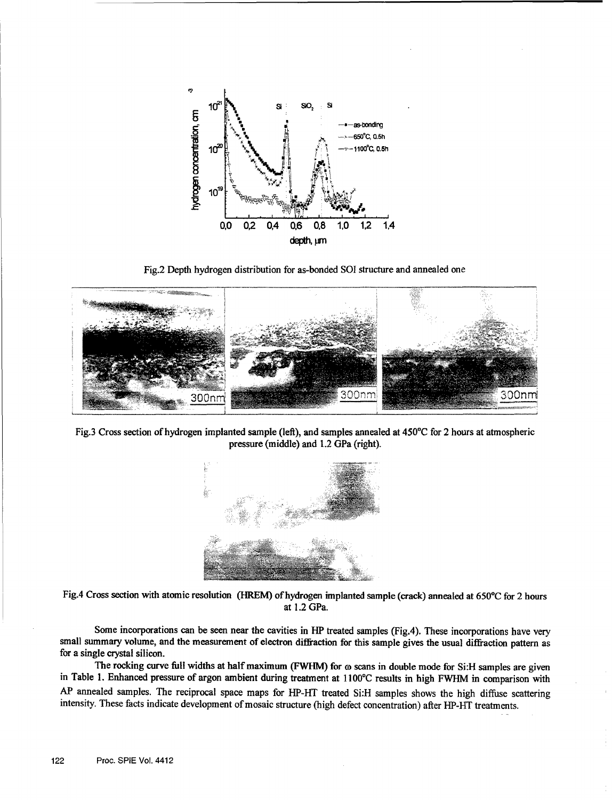

Fig.2 Depth hydrogen distribution for as-bonded **S01** structure and annealed one



Fig.3 Cross section of hydrogen implanted sample (left), and samples annealed at *450'C* for 2 hours at atmospheric pressure (middle) and 1.2 GPa (right).



Fig.4 Cross section with atomic resolution (HREM) of hydrogen implanted sample (crack) annealed at 650°C for 2 hours at 1.2 GPa.

Some incorporations can be seen near the cavities in HP treated samples (Fig.4). These incorporations have very small summary volume, and the measurement of electron diffraction for this sample gives the usual diffraction pattern as for a single crystal silicon.

The rocking curve full widths at half maximum (FWHM) for  $\omega$  scans in double mode for Si:H samples are given<br>in Table 1. Enhanced pressure of argon ambient during treatment at 1100°C results in high FWHM in comparison wit AP annealed samples. The reciprocal space maps for HP-HT treated Si:H samples shows the high diffuse scattering intensity. These facts indicate development of mosaic structure (high defect concentration) after IHP-HT treatments.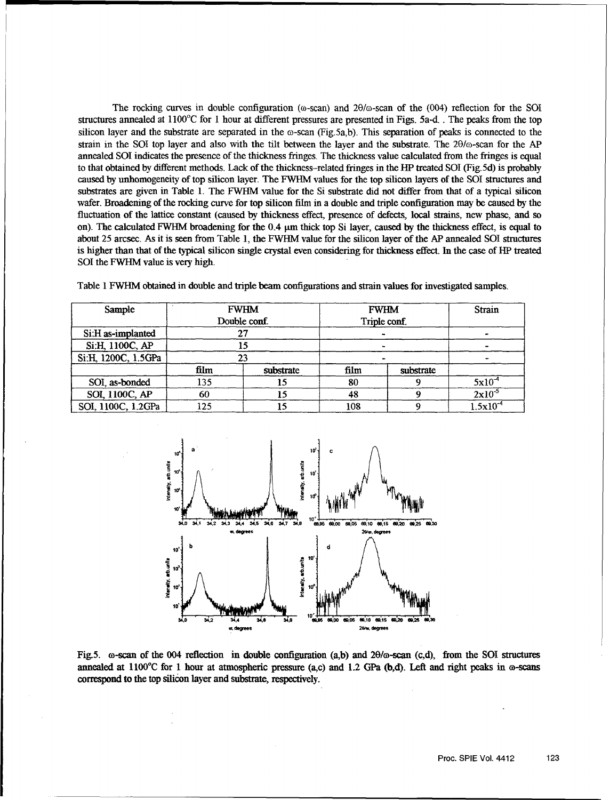The rocking curves in double configuration ( $\omega$ -scan) and  $2\theta/\omega$ -scan of the (004) reflection for the SOI structures annealed at  $1100^{\circ}$ C for 1 hour at different pressures are presented in Figs. 5a-d. The peaks from the top silicon layer and the substrate are separated in the  $\omega$ -scan (Fig.5a,b). This separation of peaks is connected to the strain in the SOI top layer and also with the tilt between the layer and the substrate. The  $2\theta/\omega$ -scan for the AP annealed **SOI** indicates the presence of the thickness fringes. The thickness value calculated from the fringes is equal to that obtained by different methods. Lack of the thickness-related fringes in the HP treated SOI (Fig.5d) is probably caused by unhomogeneity of top silicon layer. The FWHM values for the top silicon layers of the SOI structures and substrates are given in Table 1. The FWHM value for the Si substrate did not differ from that of a typical silicon wafer. Broadening of the rocking curve for top silicon film in a double and triple configuration may be caused by the fluctuation of the lattice constant (caused by thickness effect, presence of defects, local strains, new phase, and so on). The calculated FWHM broadening for the 0.4 um thick top Si layer, caused by the thickness effect, is equal to about 25 arcsec. As it is seen from Table 1, the FWHM value for the silicon layer of the AP annealed **SOI** structures is higher than that of the typical silicon single crystal even considering for thickness effect. In the case of HP treated **SOI** the FWHM value is very high.

| Sample              | <b>FWHM</b>  |           | <b>FWHM</b>  |           | Strain             |
|---------------------|--------------|-----------|--------------|-----------|--------------------|
|                     | Double conf. |           | Triple conf. |           |                    |
| Si:H as-implanted   | 27           |           |              |           |                    |
| Si:H, 1100C, AP     | 15           |           |              |           |                    |
| Si:H, 1200C, 1.5GPa | 23           |           |              |           |                    |
|                     | film         | substrate | film         | substrate |                    |
| SOI, as-bonded      | 135          | 15        | 80           |           | $5x10^4$           |
| SOI, 1100C, AP      | 60           |           | 48           |           | $2 \times 10^{-5}$ |
| SOI, 1100C, 1.2GPa  | 125          |           | 108          |           | $1.5x10^{-4}$      |

Table 1 FWHM obtained in double and triple beam configurations and strain values for investigated samples.



Fig.5.  $\omega$ -scan of the 004 reflection in double configuration (a,b) and 20/ $\omega$ -scan (c,d), from the SOI structures annealed at  $1100^{\circ}$ C for 1 hour at atmospheric pressure (a,c) and 1.2 GPa (b,d). Left and right peaks in  $\omega$ -scans correspond to the top silicon layer and substrate, respectively.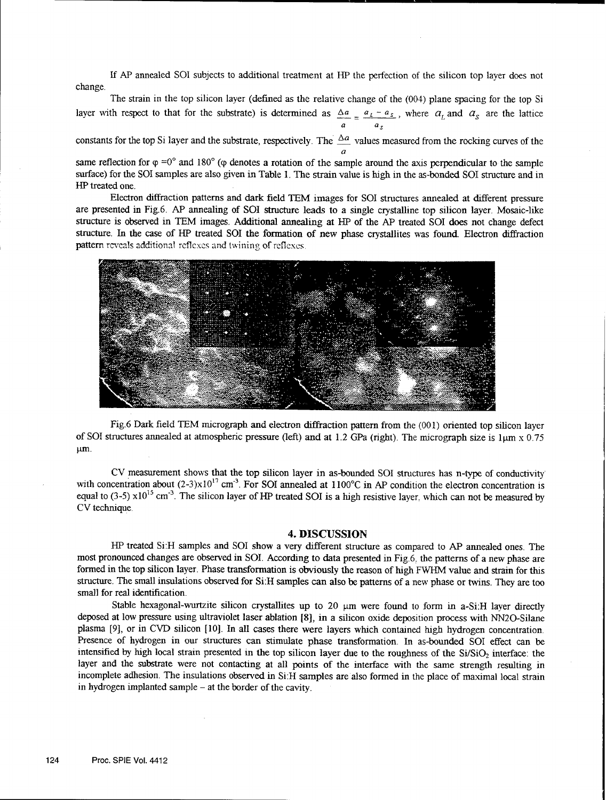If AP annealed **SOI** subjects to additional treatment at HP the perfection of the silicon top layer does not change.

The strain in the top silicon layer (defined as the relative change of the (004) plane spacing for the top Si layer with respect to that for the substrate) is determined as  $\Delta a = a_L - a_S$ , where  $a_L$  and  $a_S$  are the lattice a *a.*

constants for the top Si layer and the substrate, respectively. The  $\Delta a$  values measured from the rocking curves of the a

same reflection for  $\varphi = 0^{\circ}$  and 180° ( $\varphi$  denotes a rotation of the sample around the axis perpendicular to the sample surface) for the SOI samples are also given in Table 1. The strain value is high in the as-bonded SOI structure and in HP treated one.

Electron diffraction patterns and dark field TEM images for **SOI** structures annealed at different pressure are presented in Fig.6. AP annealing of **SOI** structure leads to a single crystalline top silicon layer. Mosaic-like structure is observed in TEM images. Additional annealing at HP of the AP treated SOI does not change defect structure. In the case of HP treated **SOI** the formation of new phase crystallites was found. Electron diffraction pattern rcveals additional reflexes and twining of reflexes



Fig.6 Dark field TEM micrograph and electron diffraction pattern from the (001) oriented top silicon layer of SOI structures annealed at atmospheric pressure (left) and at 1.2 GPa (right). The micrograph size is 1 um x 0.75 krn.

CV measurement shows that the top silicon layer in as-bounded SOI structures has n-type of conductivity with concentration about  $(2-3)x10^{17}$  cm<sup>-3</sup>. For SOI annealed at 1100°C in AP condition the electron concentration is equal to (3-5)  $\times 10^{15}$  cm<sup>-3</sup>. The silicon layer of HP treated SOI is a high resistive layer, which can not be measured by CV technique.

#### 4. **DISCUSSION**

**HP** treated Si:H samples and SOI show a very different structure as compared to AP annealed ones. The most pronounced changes are observed in **SOL.** According to data presented in Fig.6, the patterns of a new phase are formed in the top silicon layer. Phase transformation is obviously the reason of high FWHM value and strain for this structure. The small insulations observed for Si:H samples can also be patterns of a new phase or twins. They are too small for real identification.

Stable hexagonal-wurtzite silicon crystallites up to 20  $\mu$ m were found to form in a-Si:H layer directly deposed at low pressure using ultraviolet laser ablation [83, in a silicon oxide deposition process with NN20-Silane plasma [9], or in CVD silicon [10]. In all cases there were layers which contained high hydrogen concentration. Presence of hydrogen in our structures can stimulate phase transformation. In as-bounded **SOI** effect can **be** intensified by high local strain presented in the top silicon layer due to the roughness of the  $Si/SiO<sub>2</sub>$  interface: the layer and the substrate were not contacting at all points of the interface with the same strength resulting in incomplete adhesion. The insulations observed in Si:H samples are also formed in the place of maximal local strain in hydrogen implanted sample - at the border of the cavity.